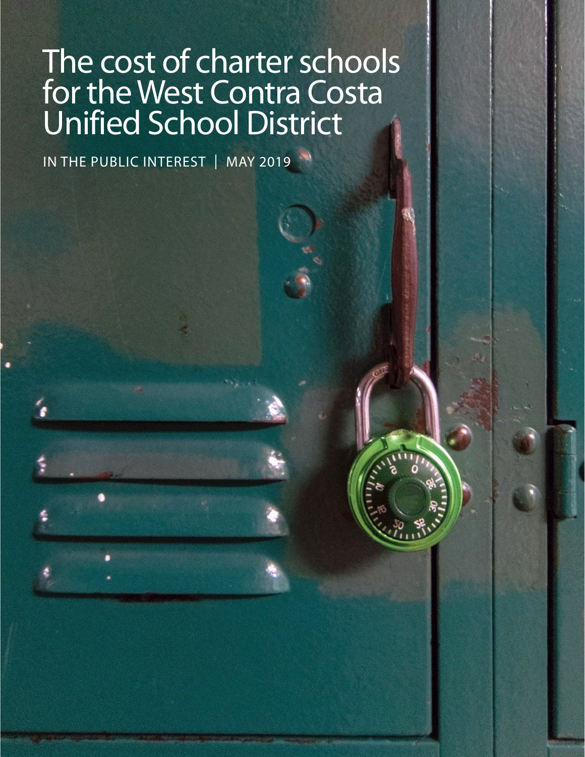# The cost of charter schools for the West Contra Costa Unified School District

IN THE PUBLIC INTEREST | MAY 2019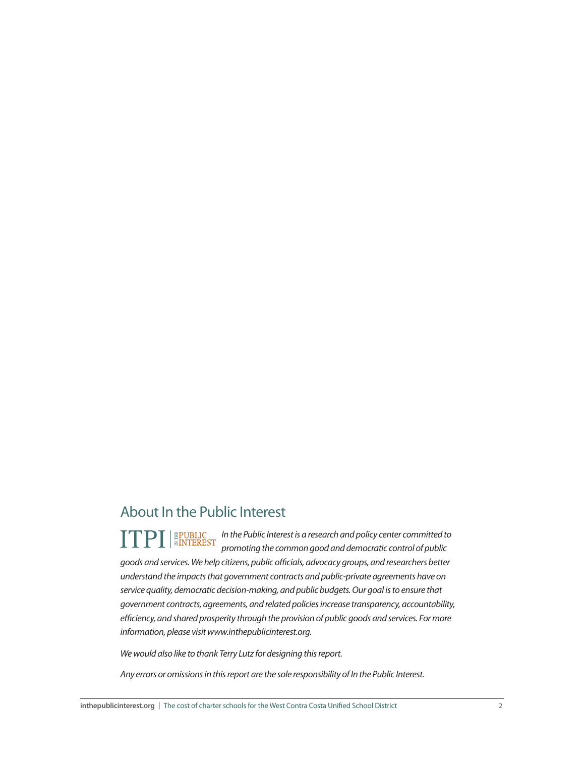## About In the Public Interest

*In the Public Interest is a research and policy center committed to promoting the common good and democratic control of public goods and services. We help citizens, public officials, advocacy groups, and researchers better understand the impacts that government contracts and public-private agreements have on service quality, democratic decision-making, and public budgets. Our goal is to ensure that government contracts, agreements, and related policies increase transparency, accountability, efficiency, and shared prosperity through the provision of public goods and services. For more information, please visit www.inthepublicinterest.org.* 

*We would also like to thank Terry Lutz for designing this report.*

*Any errors or omissions in this report are the sole responsibility of In the Public Interest.*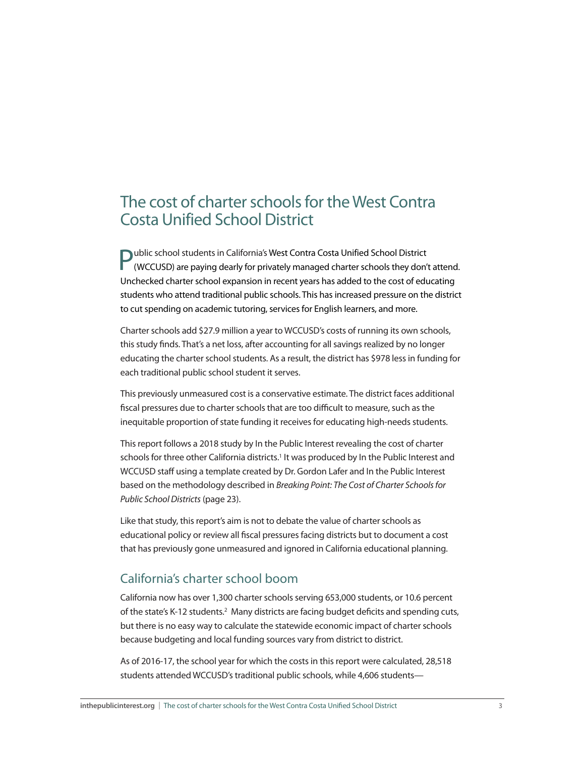## <span id="page-2-0"></span>The cost of charter schools for the West Contra Costa Unified School District

**Public school students in California's West Contra Costa Unified School District** (WCCUSD) are paying dearly for privately managed charter schools they don't attend. Unchecked charter school expansion in recent years has added to the cost of educating students who attend traditional public schools. This has increased pressure on the district to cut spending on academic tutoring, services for English learners, and more.

Charter schools add \$27.9 million a year to WCCUSD's costs of running its own schools, this study finds. That's a net loss, after accounting for all savings realized by no longer educating the charter school students. As a result, the district has \$978 less in funding for each traditional public school student it serves.

This previously unmeasured cost is a conservative estimate. The district faces additional fiscal pressures due to charter schools that are too difficult to measure, such as the inequitable proportion of state funding it receives for educating high-needs students.

This report follows a 2018 study by In the Public Interest revealing the cost of charter schools for three other California districts.<sup>1</sup> It was produced by In the Public Interest and WCCUSD staff using a template created by Dr. Gordon Lafer and In the Public Interest based on the methodology described in *[Breaking Point: The Cost of Charter Schools for](http://www.HowMuchChartersCost.org)  [Public School Districts](http://www.HowMuchChartersCost.org)* (page 23).

Like that study, this report's aim is not to debate the value of charter schools as educational policy or review all fiscal pressures facing districts but to document a cost that has previously gone unmeasured and ignored in California educational planning.

#### California's charter school boom

California now has over 1,300 charter schools serving 653,000 students, or 10.6 percent of the state's K-12 students.[2](#page-7-0) Many districts are facing budget deficits and spending cuts, but there is no easy way to calculate the statewide economic impact of charter schools because budgeting and local funding sources vary from district to district.

As of 2016-17, the school year for which the costs in this report were calculated, 28,518 students attended WCCUSD's traditional public schools, while 4,606 students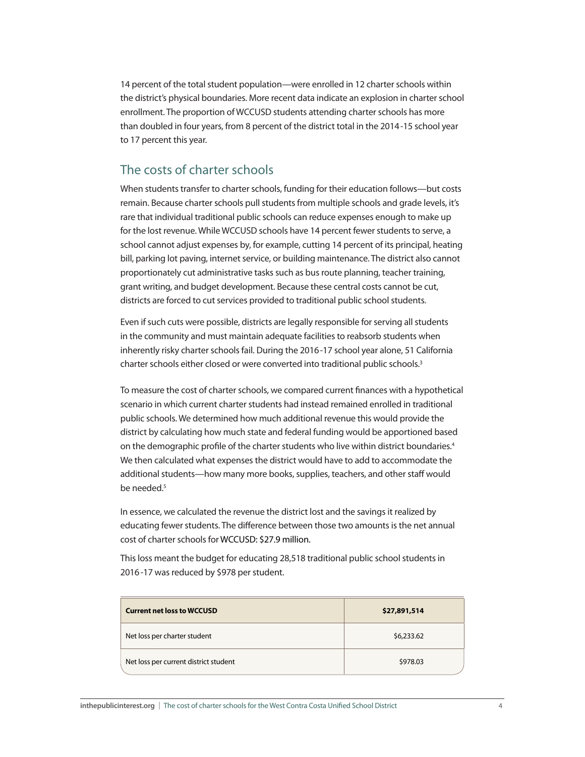<span id="page-3-0"></span>14 percent of the total student population—were enrolled in 12 charter schools within the district's physical boundaries. More recent data indicate an explosion in charter school enrollment. The proportion of WCCUSD students attending charter schools has more than doubled in four years, from 8 percent of the district total in the 2014-15 school year to 17 percent this year.

#### The costs of charter schools

When students transfer to charter schools, funding for their education follows—but costs remain. Because charter schools pull students from multiple schools and grade levels, it's rare that individual traditional public schools can reduce expenses enough to make up for the lost revenue. While WCCUSD schools have 14 percent fewer students to serve, a school cannot adjust expenses by, for example, cutting 14 percent of its principal, heating bill, parking lot paving, internet service, or building maintenance. The district also cannot proportionately cut administrative tasks such as bus route planning, teacher training, grant writing, and budget development. Because these central costs cannot be cut, districts are forced to cut services provided to traditional public school students.

Even if such cuts were possible, districts are legally responsible for serving all students in the community and must maintain adequate facilities to reabsorb students when inherently risky charter schools fail. During the 2016-17 school year alone, 51 California charter schools either closed or were converted into traditional public schools.<sup>3</sup>

To measure the cost of charter schools, we compared current finances with a hypothetical scenario in which current charter students had instead remained enrolled in traditional public schools. We determined how much additional revenue this would provide the district by calculating how much state and federal funding would be apportioned based on the demographic profile of the charter students who live within district boundaries.<sup>4</sup> We then calculated what expenses the district would have to add to accommodate the additional students—how many more books, supplies, teachers, and other staff would be needed<sup>5</sup>

In essence, we calculated the revenue the district lost and the savings it realized by educating fewer students. The difference between those two amounts is the net annual cost of charter schools for WCCUSD: \$27.9 million.

This loss meant the budget for educating 28,518 traditional public school students in 2016-17 was reduced by \$978 per student.

| <b>Current net loss to WCCUSD</b>     | \$27,891,514 |  |
|---------------------------------------|--------------|--|
| Net loss per charter student          | \$6,233.62   |  |
| Net loss per current district student | \$978.03     |  |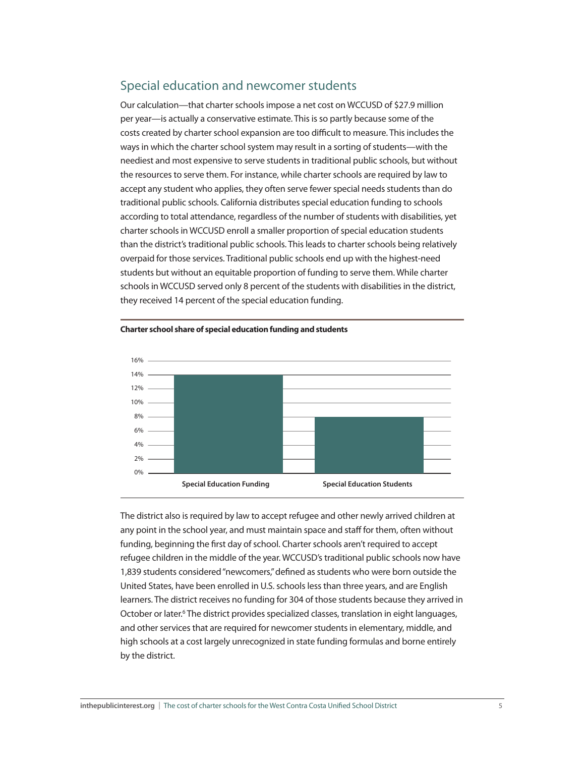### Special education and newcomer students

Our calculation—that charter schools impose a net cost on WCCUSD of \$27.9 million per year—is actually a conservative estimate. This is so partly because some of the costs created by charter school expansion are too difficult to measure. This includes the ways in which the charter school system may result in a sorting of students—with the neediest and most expensive to serve students in traditional public schools, but without the resources to serve them. For instance, while charter schools are required by law to accept any student who applies, they often serve fewer special needs students than do traditional public schools. California distributes special education funding to schools according to total attendance, regardless of the number of students with disabilities, yet charter schools in WCCUSD enroll a smaller proportion of special education students than the district's traditional public schools. This leads to charter schools being relatively overpaid for those services. Traditional public schools end up with the highest-need students but without an equitable proportion of funding to serve them. While charter schools in WCCUSD served only 8 percent of the students with disabilities in the district, they received 14 percent of the special education funding.





The district also is required by law to accept refugee and other newly arrived children at any point in the school year, and must maintain space and staff for them, often without funding, beginning the first day of school. Charter schools aren't required to accept refugee children in the middle of the year. WCCUSD's traditional public schools now have 1,839 students considered "newcomers," defined as students who were born outside the United States, have been enrolled in U.S. schools less than three years, and are English learners. The district receives no funding for 304 of those students because they arrived in October or later.<sup>6</sup> The district provides specialized classes, translation in eight languages, and other services that are required for newcomer students in elementary, middle, and high schools at a cost largely unrecognized in state funding formulas and borne entirely by the district.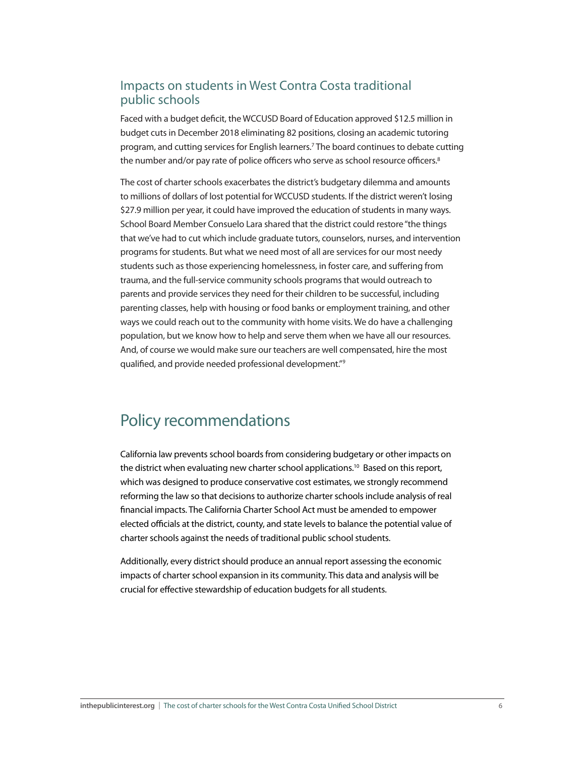#### <span id="page-5-0"></span>Impacts on students in West Contra Costa traditional public schools

Faced with a budget deficit, the WCCUSD Board of Education approved \$12.5 million in budget cuts in December 2018 eliminating 82 positions, closing an academic tutoring program, and cutting services for English learners[.7](#page-7-0) The board continues to debate cutting the number and/or pay rate of police officers who serve as school resource officers.<sup>[8](#page-7-0)</sup>

The cost of charter schools exacerbates the district's budgetary dilemma and amounts to millions of dollars of lost potential for WCCUSD students. If the district weren't losing \$27.9 million per year, it could have improved the education of students in many ways. School Board Member Consuelo Lara shared that the district could restore "the things that we've had to cut which include graduate tutors, counselors, nurses, and intervention programs for students. But what we need most of all are services for our most needy students such as those experiencing homelessness, in foster care, and suffering from trauma, and the full-service community schools programs that would outreach to parents and provide services they need for their children to be successful, including parenting classes, help with housing or food banks or employment training, and other ways we could reach out to the community with home visits. We do have a challenging population, but we know how to help and serve them when we have all our resources. And, of course we would make sure our teachers are well compensated, hire the most qualified, and provide needed professional development."[9](#page-7-0)

## Policy recommendations

California law prevents school boards from considering budgetary or other impacts on the district when evaluating new charter school applications.<sup>10</sup> Based on this report, which was designed to produce conservative cost estimates, we strongly recommend reforming the law so that decisions to authorize charter schools include analysis of real financial impacts. The California Charter School Act must be amended to empower elected officials at the district, county, and state levels to balance the potential value of charter schools against the needs of traditional public school students.

Additionally, every district should produce an annual report assessing the economic impacts of charter school expansion in its community. This data and analysis will be crucial for effective stewardship of education budgets for all students.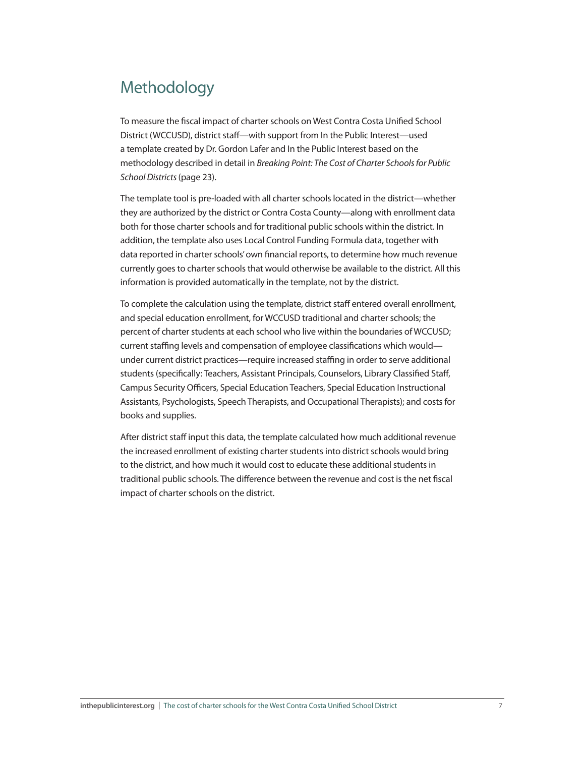# Methodology

To measure the fiscal impact of charter schools on West Contra Costa Unified School District (WCCUSD), district staff—with support from In the Public Interest—used a template created by Dr. Gordon Lafer and In the Public Interest based on the methodology described in detail in *[Breaking Point: The Cost of Charter Schools for Public](http://www.HowMuchChartersCost.org)  [School Districts](http://www.HowMuchChartersCost.org)*(page 23).

The template tool is pre-loaded with all charter schools located in the district—whether they are authorized by the district or Contra Costa County—along with enrollment data both for those charter schools and for traditional public schools within the district. In addition, the template also uses Local Control Funding Formula data, together with data reported in charter schools' own financial reports, to determine how much revenue currently goes to charter schools that would otherwise be available to the district. All this information is provided automatically in the template, not by the district.

To complete the calculation using the template, district staff entered overall enrollment, and special education enrollment, for WCCUSD traditional and charter schools; the percent of charter students at each school who live within the boundaries of WCCUSD; current staffing levels and compensation of employee classifications which would under current district practices—require increased staffing in order to serve additional students (specifically: Teachers, Assistant Principals, Counselors, Library Classified Staff, Campus Security Officers, Special Education Teachers, Special Education Instructional Assistants, Psychologists, Speech Therapists, and Occupational Therapists); and costs for books and supplies.

After district staff input this data, the template calculated how much additional revenue the increased enrollment of existing charter students into district schools would bring to the district, and how much it would cost to educate these additional students in traditional public schools. The difference between the revenue and cost is the net fiscal impact of charter schools on the district.